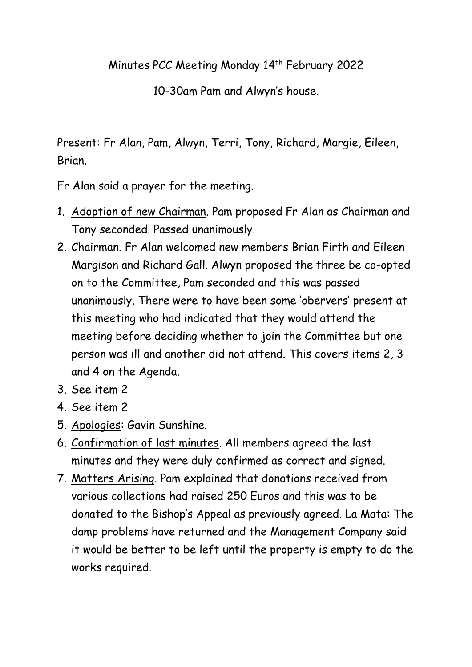## Minutes PCC Meeting Monday 14th February 2022

10-30am Pam and Alwyn's house.

Present: Fr Alan, Pam, Alwyn, Terri, Tony, Richard, Margie, Eileen, Brian.

Fr Alan said a prayer for the meeting.

- 1. Adoption of new Chairman. Pam proposed Fr Alan as Chairman and Tony seconded. Passed unanimously.
- 2. Chairman. Fr Alan welcomed new members Brian Firth and Eileen Margison and Richard Gall. Alwyn proposed the three be co-opted on to the Committee, Pam seconded and this was passed unanimously. There were to have been some 'obervers' present at this meeting who had indicated that they would attend the meeting before deciding whether to join the Committee but one person was ill and another did not attend. This covers items 2, 3 and 4 on the Agenda.
- 3. See item 2
- 4. See item 2
- 5. Apologies: Gavin Sunshine.
- 6. Confirmation of last minutes. All members agreed the last minutes and they were duly confirmed as correct and signed.
- 7. Matters Arising. Pam explained that donations received from various collections had raised 250 Euros and this was to be donated to the Bishop's Appeal as previously agreed. La Mata: The damp problems have returned and the Management Company said it would be better to be left until the property is empty to do the works required.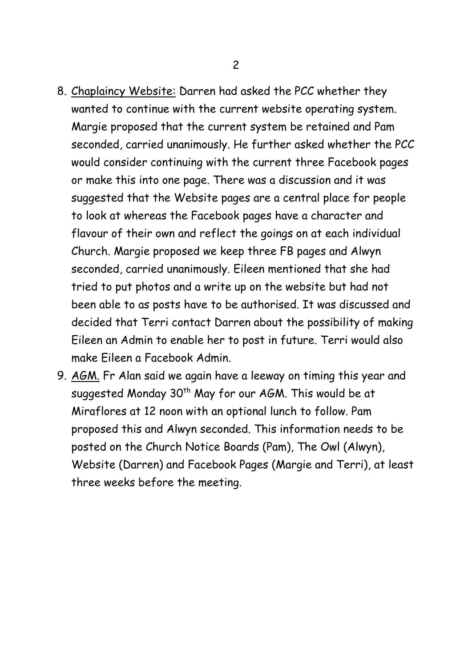- 8. Chaplaincy Website: Darren had asked the PCC whether they wanted to continue with the current website operating system. Margie proposed that the current system be retained and Pam seconded, carried unanimously. He further asked whether the PCC would consider continuing with the current three Facebook pages or make this into one page. There was a discussion and it was suggested that the Website pages are a central place for people to look at whereas the Facebook pages have a character and flavour of their own and reflect the goings on at each individual Church. Margie proposed we keep three FB pages and Alwyn seconded, carried unanimously. Eileen mentioned that she had tried to put photos and a write up on the website but had not been able to as posts have to be authorised. It was discussed and decided that Terri contact Darren about the possibility of making Eileen an Admin to enable her to post in future. Terri would also make Eileen a Facebook Admin.
- 9. AGM. Fr Alan said we again have a leeway on timing this year and suggested Monday 30<sup>th</sup> May for our AGM. This would be at Miraflores at 12 noon with an optional lunch to follow. Pam proposed this and Alwyn seconded. This information needs to be posted on the Church Notice Boards (Pam), The Owl (Alwyn), Website (Darren) and Facebook Pages (Margie and Terri), at least three weeks before the meeting.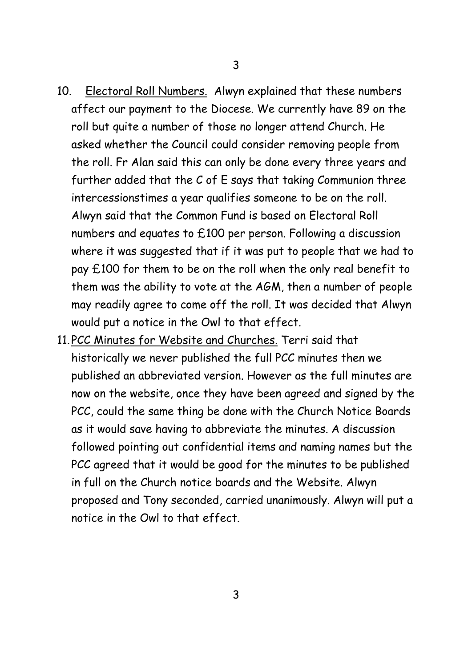- 10. Electoral Roll Numbers. Alwyn explained that these numbers affect our payment to the Diocese. We currently have 89 on the roll but quite a number of those no longer attend Church. He asked whether the Council could consider removing people from the roll. Fr Alan said this can only be done every three years and further added that the C of E says that taking Communion three intercessionstimes a year qualifies someone to be on the roll. Alwyn said that the Common Fund is based on Electoral Roll numbers and equates to £100 per person. Following a discussion where it was suggested that if it was put to people that we had to pay £100 for them to be on the roll when the only real benefit to them was the ability to vote at the AGM, then a number of people may readily agree to come off the roll. It was decided that Alwyn would put a notice in the Owl to that effect.
- 11.PCC Minutes for Website and Churches. Terri said that historically we never published the full PCC minutes then we published an abbreviated version. However as the full minutes are now on the website, once they have been agreed and signed by the PCC, could the same thing be done with the Church Notice Boards as it would save having to abbreviate the minutes. A discussion followed pointing out confidential items and naming names but the PCC agreed that it would be good for the minutes to be published in full on the Church notice boards and the Website. Alwyn proposed and Tony seconded, carried unanimously. Alwyn will put a notice in the Owl to that effect.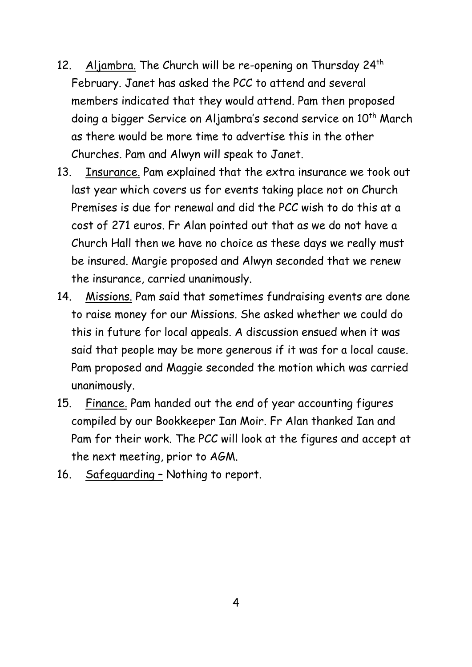- 12. Aljambra. The Church will be re-opening on Thursday 24<sup>th</sup> February. Janet has asked the PCC to attend and several members indicated that they would attend. Pam then proposed doing a bigger Service on Aljambra's second service on 10<sup>th</sup> March as there would be more time to advertise this in the other Churches. Pam and Alwyn will speak to Janet.
- 13. Insurance. Pam explained that the extra insurance we took out last year which covers us for events taking place not on Church Premises is due for renewal and did the PCC wish to do this at a cost of 271 euros. Fr Alan pointed out that as we do not have a Church Hall then we have no choice as these days we really must be insured. Margie proposed and Alwyn seconded that we renew the insurance, carried unanimously.
- 14. Missions. Pam said that sometimes fundraising events are done to raise money for our Missions. She asked whether we could do this in future for local appeals. A discussion ensued when it was said that people may be more generous if it was for a local cause. Pam proposed and Maggie seconded the motion which was carried unanimously.
- 15. Finance. Pam handed out the end of year accounting figures compiled by our Bookkeeper Ian Moir. Fr Alan thanked Ian and Pam for their work. The PCC will look at the figures and accept at the next meeting, prior to AGM.
- 16. Safeguarding Nothing to report.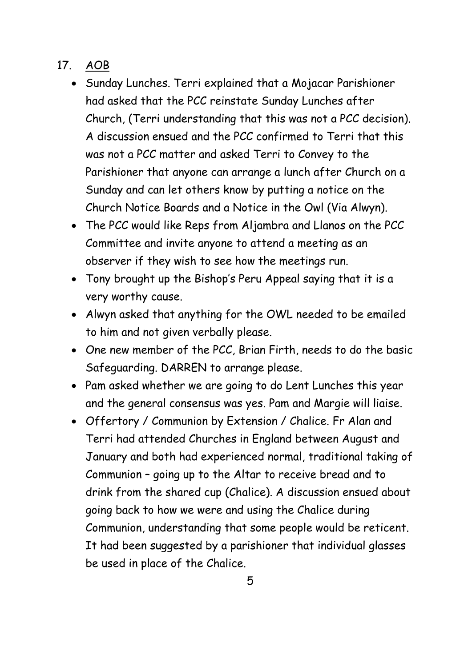## 17. AOB

- Sunday Lunches. Terri explained that a Mojacar Parishioner had asked that the PCC reinstate Sunday Lunches after Church, (Terri understanding that this was not a PCC decision). A discussion ensued and the PCC confirmed to Terri that this was not a PCC matter and asked Terri to Convey to the Parishioner that anyone can arrange a lunch after Church on a Sunday and can let others know by putting a notice on the Church Notice Boards and a Notice in the Owl (Via Alwyn).
- The PCC would like Reps from Aljambra and Llanos on the PCC Committee and invite anyone to attend a meeting as an observer if they wish to see how the meetings run.
- Tony brought up the Bishop's Peru Appeal saying that it is a very worthy cause.
- Alwyn asked that anything for the OWL needed to be emailed to him and not given verbally please.
- One new member of the PCC, Brian Firth, needs to do the basic Safeguarding. DARREN to arrange please.
- Pam asked whether we are going to do Lent Lunches this year and the general consensus was yes. Pam and Margie will liaise.
- Offertory / Communion by Extension / Chalice. Fr Alan and Terri had attended Churches in England between August and January and both had experienced normal, traditional taking of Communion – going up to the Altar to receive bread and to drink from the shared cup (Chalice). A discussion ensued about going back to how we were and using the Chalice during Communion, understanding that some people would be reticent. It had been suggested by a parishioner that individual glasses be used in place of the Chalice.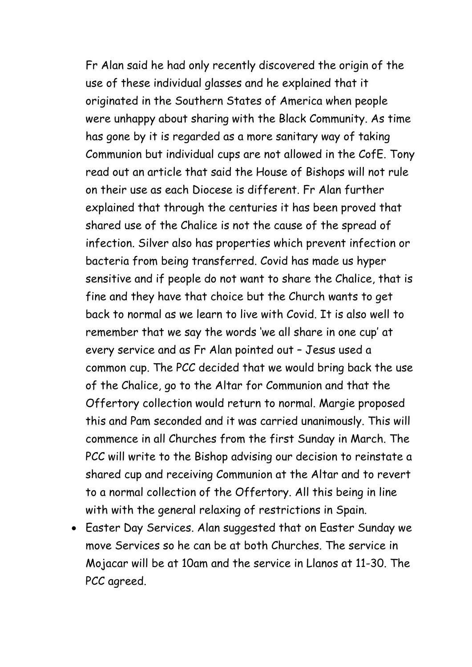Fr Alan said he had only recently discovered the origin of the use of these individual glasses and he explained that it originated in the Southern States of America when people were unhappy about sharing with the Black Community. As time has gone by it is regarded as a more sanitary way of taking Communion but individual cups are not allowed in the CofE. Tony read out an article that said the House of Bishops will not rule on their use as each Diocese is different. Fr Alan further explained that through the centuries it has been proved that shared use of the Chalice is not the cause of the spread of infection. Silver also has properties which prevent infection or bacteria from being transferred. Covid has made us hyper sensitive and if people do not want to share the Chalice, that is fine and they have that choice but the Church wants to get back to normal as we learn to live with Covid. It is also well to remember that we say the words 'we all share in one cup' at every service and as Fr Alan pointed out – Jesus used a common cup. The PCC decided that we would bring back the use of the Chalice, go to the Altar for Communion and that the Offertory collection would return to normal. Margie proposed this and Pam seconded and it was carried unanimously. This will commence in all Churches from the first Sunday in March. The PCC will write to the Bishop advising our decision to reinstate a shared cup and receiving Communion at the Altar and to revert to a normal collection of the Offertory. All this being in line with with the general relaxing of restrictions in Spain.

 Easter Day Services. Alan suggested that on Easter Sunday we move Services so he can be at both Churches. The service in Mojacar will be at 10am and the service in Llanos at 11-30. The PCC agreed.